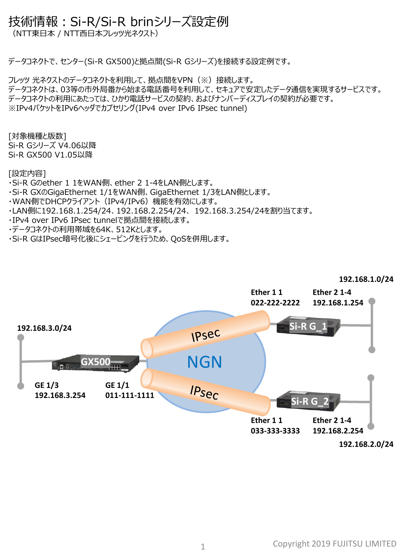## 技術情報:Si-R/Si-R brinシリーズ設定例

(NTT東日本 / NTT西日本フレッツ光ネクスト)

データコネクトで、センター(Si-R GX500)と拠点間(Si-R Gシリーズ)を接続する設定例です。

フレッツ 光ネクストのデータコネクトを利用して、拠点間をVPN(※)接続します。 データコネクトは、03等の市外局番から始まる電話番号を利用して、セキュアで安定したデータ通信を実現するサービスです。 データコネクトの利用にあたっては、ひかり電話サービスの契約、およびナンバーディスプレイの契約が必要です。 ※IPv4パケットをIPv6ヘッダでカプセリング(IPv4 over IPv6 IPsec tunnel)

[対象機種と版数] Si-R Gシリーズ V4.06以降 Si-R GX500 V1.05以降

[設定内容]

・Si-R Gのether 1 1をWAN側、ether 2 1-4をLAN側とします。

- ・Si-R GXのGigaEthernet 1/1をWAN側、GigaEthernet 1/3をLAN側とします。
- ・WAN側でDHCPクライアント(IPv4/IPv6)機能を有効にします。
- ・LAN側に192.168.1.254/24、192.168.2.254/24、 192.168.3.254/24を割り当てます。
- ・IPv4 over IPv6 IPsec tunnelで拠点間を接続します。
- ・データコネクトの利用帯域を64K、512Kとします。
- ・Si-R GはIPsec暗号化後にシェーピングを行うため、QoSを併用します。

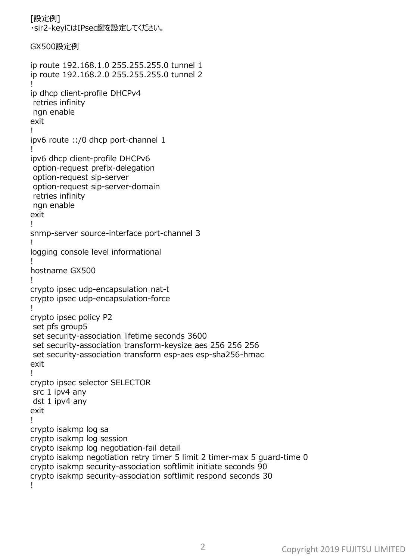```
[設定例]
・sir2-keyにはIPsec鍵を設定してください。
GX500設定例
ip route 192.168.1.0 255.255.255.0 tunnel 1
ip route 192.168.2.0 255.255.255.0 tunnel 2
!
ip dhcp client-profile DHCPv4
retries infinity
ngn enable
exit
!
ipv6 route ::/0 dhcp port-channel 1
!
ipv6 dhcp client-profile DHCPv6
option-request prefix-delegation
option-request sip-server
option-request sip-server-domain
retries infinity
ngn enable
exit
!
snmp-server source-interface port-channel 3
!
logging console level informational
!
hostname GX500
!
crypto ipsec udp-encapsulation nat-t
crypto ipsec udp-encapsulation-force
!
crypto ipsec policy P2
set pfs group5
set security-association lifetime seconds 3600
set security-association transform-keysize aes 256 256 256
set security-association transform esp-aes esp-sha256-hmac
exit
!
crypto ipsec selector SELECTOR
src 1 ipv4 any
dst 1 ipv4 any
exit
!
crypto isakmp log sa
crypto isakmp log session
crypto isakmp log negotiation-fail detail
crypto isakmp negotiation retry timer 5 limit 2 timer-max 5 guard-time 0
crypto isakmp security-association softlimit initiate seconds 90
crypto isakmp security-association softlimit respond seconds 30
!
```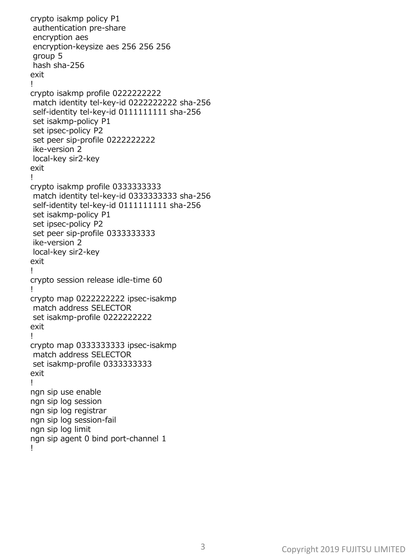```
crypto isakmp policy P1
authentication pre-share
encryption aes
encryption-keysize aes 256 256 256
group 5
hash sha-256
exit
!
crypto isakmp profile 0222222222
match identity tel-key-id 0222222222 sha-256
self-identity tel-key-id 0111111111 sha-256
set isakmp-policy P1
set ipsec-policy P2
set peer sip-profile 0222222222
ike-version 2
local-key sir2-key
exit
!
crypto isakmp profile 0333333333
match identity tel-key-id 0333333333 sha-256
self-identity tel-key-id 0111111111 sha-256
set isakmp-policy P1
set ipsec-policy P2
set peer sip-profile 0333333333
ike-version 2
local-key sir2-key
exit
!
crypto session release idle-time 60
!
crypto map 0222222222 ipsec-isakmp
match address SELECTOR
set isakmp-profile 0222222222
exit
!
crypto map 0333333333 ipsec-isakmp
match address SELECTOR
set isakmp-profile 0333333333
exit
!
ngn sip use enable
ngn sip log session
ngn sip log registrar
ngn sip log session-fail
ngn sip log limit
ngn sip agent 0 bind port-channel 1
!
```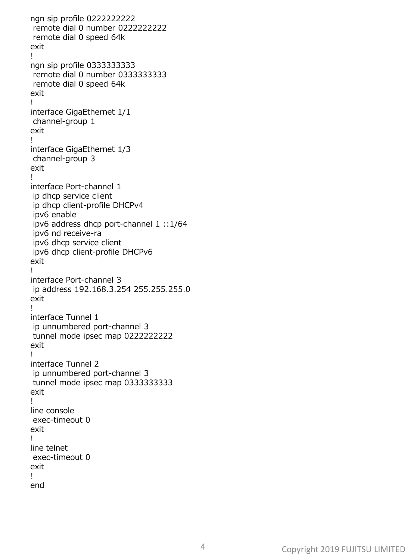ngn sip profile 0222222222 remote dial 0 number 0222222222 remote dial 0 speed 64k exit ! ngn sip profile 0333333333 remote dial 0 number 0333333333 remote dial 0 speed 64k exit ! interface GigaEthernet 1/1 channel-group 1 exit ! interface GigaEthernet 1/3 channel-group 3 exit ! interface Port-channel 1 ip dhcp service client ip dhcp client-profile DHCPv4 ipv6 enable ipv6 address dhcp port-channel 1 ::1/64 ipv6 nd receive-ra ipv6 dhcp service client ipv6 dhcp client-profile DHCPv6 exit ! interface Port-channel 3 ip address 192.168.3.254 255.255.255.0 exit ! interface Tunnel 1 ip unnumbered port-channel 3 tunnel mode ipsec map 0222222222 exit ! interface Tunnel 2 ip unnumbered port-channel 3 tunnel mode ipsec map 0333333333 exit ! line console exec-timeout 0 exit ! line telnet exec-timeout 0 exit ! end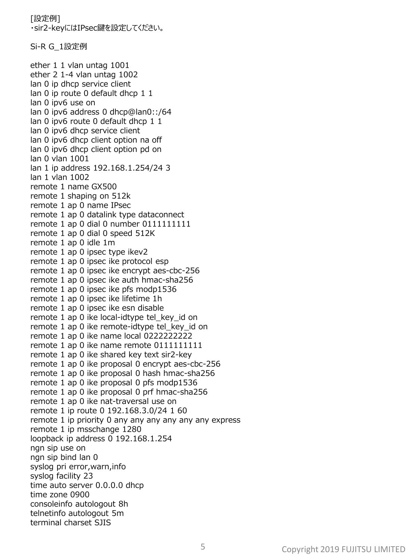[設定例] ・sir2-keyにはIPsec鍵を設定してください。

Si-R G\_1設定例

ether 1 1 vlan untag 1001 ether 2 1-4 vlan untag 1002 lan 0 ip dhcp service client lan 0 ip route 0 default dhcp 1 1 lan 0 ipv6 use on lan 0 ipv6 address 0 dhcp@lan0::/64 lan 0 ipv6 route 0 default dhcp 1 1 lan 0 ipv6 dhcp service client lan 0 ipv6 dhcp client option na off lan 0 ipv6 dhcp client option pd on lan 0 vlan 1001 lan 1 ip address 192.168.1.254/24 3 lan 1 vlan 1002 remote 1 name GX500 remote 1 shaping on 512k remote 1 ap 0 name IPsec remote 1 ap 0 datalink type dataconnect remote 1 ap 0 dial 0 number 0111111111 remote 1 ap 0 dial 0 speed 512K remote 1 ap 0 idle 1m remote 1 ap 0 ipsec type ikev2 remote 1 ap 0 ipsec ike protocol esp remote 1 ap 0 ipsec ike encrypt aes-cbc-256 remote 1 ap 0 ipsec ike auth hmac-sha256 remote 1 ap 0 ipsec ike pfs modp1536 remote 1 ap 0 ipsec ike lifetime 1h remote 1 ap 0 ipsec ike esn disable remote 1 ap 0 ike local-idtype tel key id on remote 1 ap 0 ike remote-idtype tel\_key\_id on remote 1 ap 0 ike name local 0222222222 remote 1 ap 0 ike name remote 0111111111 remote 1 ap 0 ike shared key text sir2-key remote 1 ap 0 ike proposal 0 encrypt aes-cbc-256 remote 1 ap 0 ike proposal 0 hash hmac-sha256 remote 1 ap 0 ike proposal 0 pfs modp1536 remote 1 ap 0 ike proposal 0 prf hmac-sha256 remote 1 ap 0 ike nat-traversal use on remote 1 ip route 0 192.168.3.0/24 1 60 remote 1 ip priority 0 any any any any any any express remote 1 ip msschange 1280 loopback ip address 0 192.168.1.254 ngn sip use on ngn sip bind lan 0 syslog pri error,warn,info syslog facility 23 time auto server 0.0.0.0 dhcp time zone 0900 consoleinfo autologout 8h telnetinfo autologout 5m terminal charset SJIS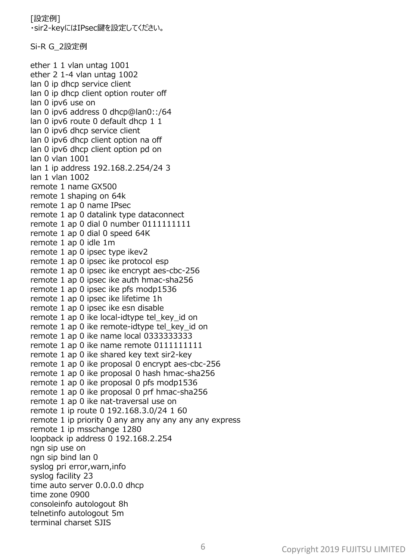[設定例] ・sir2-keyにはIPsec鍵を設定してください。

Si-R G\_2設定例

ether 1 1 vlan untag 1001 ether 2 1-4 vlan untag 1002 lan 0 ip dhcp service client lan 0 ip dhcp client option router off lan 0 ipv6 use on lan 0 ipv6 address 0 dhcp@lan0::/64 lan 0 ipv6 route 0 default dhcp 1 1 lan 0 ipv6 dhcp service client lan 0 ipv6 dhcp client option na off lan 0 ipv6 dhcp client option pd on lan 0 vlan 1001 lan 1 ip address 192.168.2.254/24 3 lan 1 vlan 1002 remote 1 name GX500 remote 1 shaping on 64k remote 1 ap 0 name IPsec remote 1 ap 0 datalink type dataconnect remote 1 ap 0 dial 0 number 0111111111 remote 1 ap 0 dial 0 speed 64K remote 1 ap 0 idle 1m remote 1 ap 0 ipsec type ikev2 remote 1 ap 0 ipsec ike protocol esp remote 1 ap 0 ipsec ike encrypt aes-cbc-256 remote 1 ap 0 ipsec ike auth hmac-sha256 remote 1 ap 0 ipsec ike pfs modp1536 remote 1 ap 0 ipsec ike lifetime 1h remote 1 ap 0 ipsec ike esn disable remote 1 ap 0 ike local-idtype tel key id on remote 1 ap 0 ike remote-idtype tel\_key\_id on remote 1 ap 0 ike name local 0333333333 remote 1 ap 0 ike name remote 0111111111 remote 1 ap 0 ike shared key text sir2-key remote 1 ap 0 ike proposal 0 encrypt aes-cbc-256 remote 1 ap 0 ike proposal 0 hash hmac-sha256 remote 1 ap 0 ike proposal 0 pfs modp1536 remote 1 ap 0 ike proposal 0 prf hmac-sha256 remote 1 ap 0 ike nat-traversal use on remote 1 ip route 0 192.168.3.0/24 1 60 remote 1 ip priority 0 any any any any any any express remote 1 ip msschange 1280 loopback ip address 0 192.168.2.254 ngn sip use on ngn sip bind lan 0 syslog pri error,warn,info syslog facility 23 time auto server 0.0.0.0 dhcp time zone 0900 consoleinfo autologout 8h telnetinfo autologout 5m terminal charset SJIS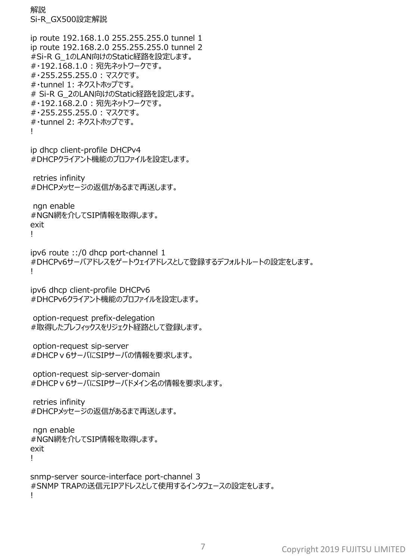解説 Si-R\_GX500設定解説

ip route 192.168.1.0 255.255.255.0 tunnel 1 ip route 192.168.2.0 255.255.255.0 tunnel 2 #Si-R G\_1のLAN向けのStatic経路を設定します。 #・192.168.1.0 : 宛先ネットワークです。 #・255.255.255.0 : マスクです。 #・tunnel 1: ネクストホップです。 # Si-R G\_2のLAN向けのStatic経路を設定します。 #・192.168.2.0 : 宛先ネットワークです。 #・255.255.255.0 : マスクです。 #・tunnel 2: ネクストホップです。 !

ip dhcp client-profile DHCPv4 #DHCPクライアント機能のプロファイルを設定します。

retries infinity #DHCPメッセージの返信があるまで再送します。

ngn enable #NGN網を介してSIP情報を取得します。 exit !

ipv6 route ::/0 dhcp port-channel 1 #DHCPv6サーバアドレスをゲートウェイアドレスとして登録するデフォルトルートの設定をします。 !

ipv6 dhcp client-profile DHCPv6 #DHCPv6クライアント機能のプロファイルを設定します。

option-request prefix-delegation #取得したプレフィックスをリジェクト経路として登録します。

```
option-request sip-server
#DHCPv6サーバにSIPサーバの情報を要求します。
```
option-request sip-server-domain #DHCPv6サーバにSIPサーバドメイン名の情報を要求します。

retries infinity #DHCPメッセージの返信があるまで再送します。

ngn enable #NGN網を介してSIP情報を取得します。 exit !

```
snmp-server source-interface port-channel 3
#SNMP TRAPの送信元IPアドレスとして使用するインタフェースの設定をします。
!
```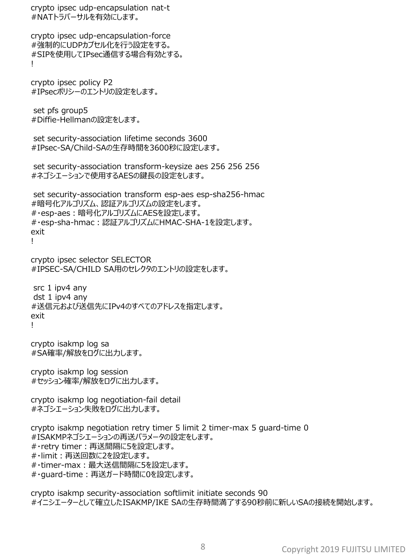crypto ipsec udp-encapsulation nat-t #NATトラバーサルを有効にします。

crypto ipsec udp-encapsulation-force #強制的にUDPカプセル化を行う設定をする。 #SIPを使用してIPsec通信する場合有効とする。 !

crypto ipsec policy P2 #IPsecポリシーのエントリの設定をします。

set pfs group5 #Diffie-Hellmanの設定をします。

set security-association lifetime seconds 3600 #IPsec-SA/Child-SAの生存時間を3600秒に設定します。

set security-association transform-keysize aes 256 256 256 #ネゴシエーションで使用するAESの鍵長の設定をします。

set security-association transform esp-aes esp-sha256-hmac #暗号化アルゴリズム、認証アルゴリズムの設定をします。 #・esp-aes:暗号化アルゴリズムにAESを設定します。 #・esp-sha-hmac:認証アルゴリズムにHMAC-SHA-1を設定します。 exit !

crypto ipsec selector SELECTOR #IPSEC-SA/CHILD SA用のセレクタのエントリの設定をします。

src 1 ipv4 any dst 1 ipv4 any #送信元および送信先にIPv4のすべてのアドレスを指定します。 exit !

crypto isakmp log sa #SA確率/解放をログに出力します。

crypto isakmp log session #セッション確率/解放をログに出力します。

crypto isakmp log negotiation-fail detail #ネゴシエーション失敗をログに出力します。

crypto isakmp negotiation retry timer 5 limit 2 timer-max 5 guard-time 0 #ISAKMPネゴシエーションの再送パラメータの設定をします。 #・retry timer:再送間隔に5を設定します。 #・limit:再送回数に2を設定します。 #・timer-max:最大送信間隔に5を設定します。 #・guard-time:再送ガード時間に0を設定します。

crypto isakmp security-association softlimit initiate seconds 90 #イニシエーターとして確立したISAKMP/IKE SAの生存時間満了する90秒前に新しいSAの接続を開始します。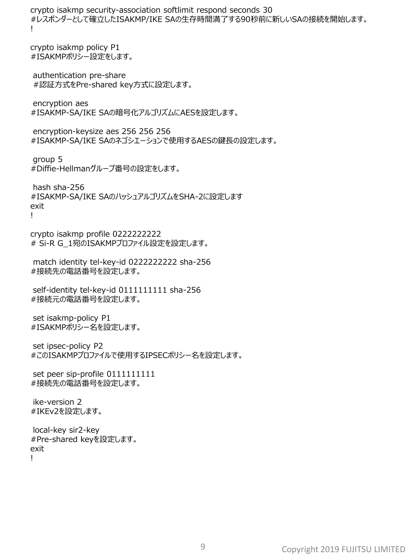crypto isakmp security-association softlimit respond seconds 30 #レスポンダーとして確立したISAKMP/IKE SAの生存時間満了する90秒前に新しいSAの接続を開始します。 !

crypto isakmp policy P1 #ISAKMPポリシー設定をします。

authentication pre-share #認証方式をPre-shared key方式に設定します。

encryption aes #ISAKMP-SA/IKE SAの暗号化アルゴリズムにAESを設定します。

encryption-keysize aes 256 256 256 #ISAKMP-SA/IKE SAのネゴシエーションで使用するAESの鍵長の設定します。

group 5 #Diffie-Hellmanグループ番号の設定をします。

hash sha-256 #ISAKMP-SA/IKE SAのハッシュアルゴリズムをSHA-2に設定します exit !

crypto isakmp profile 0222222222 # Si-R G\_1宛のISAKMPプロファイル設定を設定します。

match identity tel-key-id 0222222222 sha-256 #接続先の電話番号を設定します。

self-identity tel-key-id 0111111111 sha-256 #接続元の電話番号を設定します。

set isakmp-policy P1 #ISAKMPポリシー名を設定します。

set ipsec-policy P2 #このISAKMPプロファイルで使用するIPSECポリシー名を設定します。

set peer sip-profile 0111111111 #接続先の電話番号を設定します。

ike-version 2 #IKEv2を設定します。

local-key sir2-key #Pre-shared keyを設定します。 exit !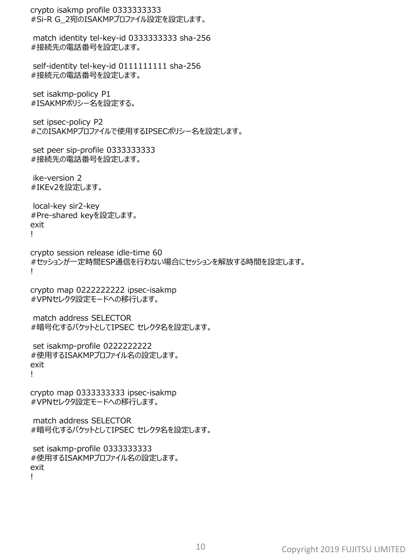crypto isakmp profile 0333333333 #Si-R G 2宛のISAKMPプロファイル設定を設定します。

match identity tel-key-id 0333333333 sha-256 #接続先の電話番号を設定します。

self-identity tel-key-id 0111111111 sha-256 #接続元の電話番号を設定します。

set isakmp-policy P1 #ISAKMPポリシー名を設定する。

set ipsec-policy P2 #このISAKMPプロファイルで使用するIPSECポリシー名を設定します。

set peer sip-profile 0333333333 #接続先の電話番号を設定します。

ike-version 2 #IKEv2を設定します。

local-key sir2-key #Pre-shared keyを設定します。 exit !

crypto session release idle-time 60 #セッションが一定時間ESP通信を行わない場合にセッションを解放する時間を設定します。 !

crypto map 0222222222 ipsec-isakmp #VPNセレクタ設定モードへの移行します。

match address SELECTOR #暗号化するパケットとしてIPSEC セレクタ名を設定します。

set isakmp-profile 0222222222 #使用するISAKMPプロファイル名の設定します。 exit !

crypto map 0333333333 ipsec-isakmp #VPNセレクタ設定モードへの移行します。

match address SELECTOR #暗号化するパケットとしてIPSEC セレクタ名を設定します。

set isakmp-profile 0333333333 #使用するISAKMPプロファイル名の設定します。 exit !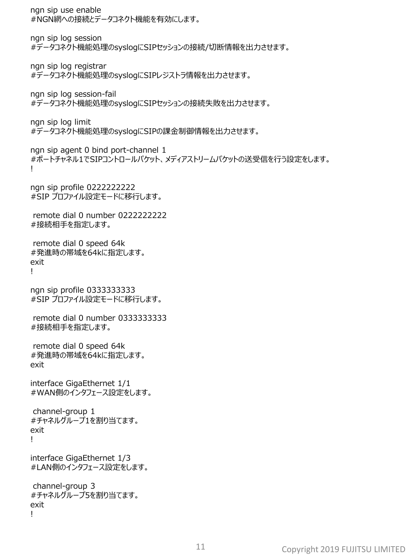ngn sip use enable #NGN網への接続とデータコネクト機能を有効にします。

ngn sip log session #データコネクト機能処理のsyslogにSIPセッションの接続/切断情報を出力させます。

ngn sip log registrar #データコネクト機能処理のsyslogにSIPレジストラ情報を出力させます。

ngn sip log session-fail #データコネクト機能処理のsyslogにSIPセッションの接続失敗を出力させます。

ngn sip log limit #データコネクト機能処理のsyslogにSIPの課金制御情報を出力させます。

ngn sip agent 0 bind port-channel 1 #ポートチャネル1でSIPコントロールパケット、メディアストリームパケットの送受信を行う設定をします。 !

ngn sip profile 0222222222 #SIP プロファイル設定モードに移行します。

remote dial 0 number 0222222222 #接続相手を指定します。

remote dial 0 speed 64k #発進時の帯域を64kに指定します。 exit !

ngn sip profile 0333333333 #SIP プロファイル設定モードに移行します。

remote dial 0 number 0333333333 #接続相手を指定します。

remote dial 0 speed 64k #発進時の帯域を64kに指定します。 exit

interface GigaEthernet 1/1 #WAN側のインタフェース設定をします。

channel-group 1 #チャネルグループ1を割り当てます。 exit !

interface GigaEthernet 1/3 #LAN側のインタフェース設定をします。

channel-group 3 #チャネルグループ5を割り当てます。 exit !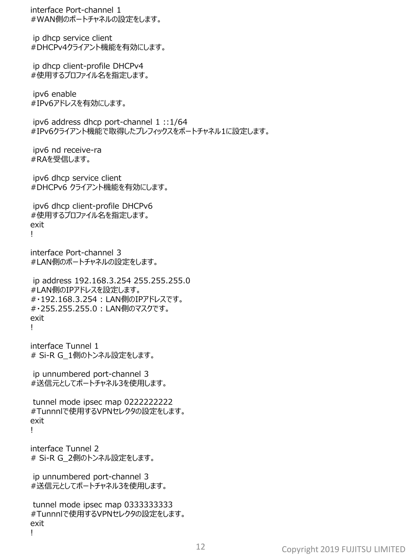interface Port-channel 1 #WAN側のポートチャネルの設定をします。

ip dhcp service client #DHCPv4クライアント機能を有効にします。

ip dhcp client-profile DHCPv4 #使用するプロファイル名を指定します。

ipv6 enable #IPv6アドレスを有効にします。

ipv6 address dhcp port-channel 1 ::1/64 #IPv6クライアント機能で取得したプレフィックスをポートチャネル1に設定します。

ipv6 nd receive-ra #RAを受信します。

ipv6 dhcp service client #DHCPv6 クライアント機能を有効にします。

```
ipv6 dhcp client-profile DHCPv6
#使用するプロファイル名を指定します。
exit
!
```

```
interface Port-channel 3
#LAN側のポートチャネルの設定をします。
```

```
ip address 192.168.3.254 255.255.255.0
#LAN側のIPアドレスを設定します。
#・192.168.3.254 : LAN側のIPアドレスです。
#・255.255.255.0 : LAN側のマスクです。
exit
!
```

```
interface Tunnel 1
# Si-R G_1側のトンネル設定をします。
```
ip unnumbered port-channel 3 #送信元としてポートチャネル3を使用します。

tunnel mode ipsec map 0222222222 #Tunnnlで使用するVPNセレクタの設定をします。 exit !

interface Tunnel 2 # Si-R G\_2側のトンネル設定をします。

ip unnumbered port-channel 3 #送信元としてポートチャネル3を使用します。

tunnel mode ipsec map 0333333333 #Tunnnlで使用するVPNセレクタの設定をします。 exit !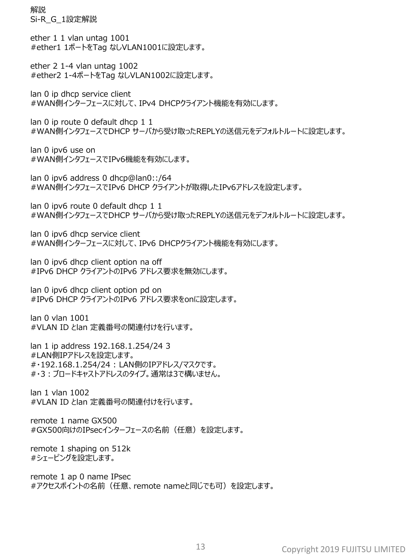解説 Si-R\_G\_1設定解説

ether 1 1 vlan untag 1001 #ether1 1ポートをTag なしVLAN1001に設定します。

ether 2 1-4 vlan untag 1002 #ether2 1-4ポートをTag なしVLAN1002に設定します。

lan 0 ip dhcp service client #WAN側インターフェースに対して、IPv4 DHCPクライアント機能を有効にします。

lan 0 ip route 0 default dhcp 1 1 #WAN側インタフェースでDHCP サーバから受け取ったREPLYの送信元をデフォルトルートに設定します。

lan 0 ipv6 use on #WAN側インタフェースでIPv6機能を有効にします。

lan 0 ipv6 address 0 dhcp@lan0::/64 #WAN側インタフェースでIPv6 DHCP クライアントが取得したIPv6アドレスを設定します。

lan 0 ipv6 route 0 default dhcp 1 1 #WAN側インタフェースでDHCP サーバから受け取ったREPLYの送信元をデフォルトルートに設定します。

lan 0 ipv6 dhcp service client #WAN側インターフェースに対して、IPv6 DHCPクライアント機能を有効にします。

lan 0 ipv6 dhcp client option na off #IPv6 DHCP クライアントのIPv6 アドレス要求を無効にします。

lan 0 ipv6 dhcp client option pd on #IPv6 DHCP クライアントのIPv6 アドレス要求をonに設定します。

lan 0 vlan 1001 #VLAN ID とlan 定義番号の関連付けを行います。

lan 1 ip address 192.168.1.254/24 3 #LAN側IPアドレスを設定します。 #・192.168.1.254/24 : LAN側のIPアドレス/マスクです。 #・3:ブロードキャストアドレスのタイプ。通常は3で構いません。

lan 1 vlan 1002 #VLAN ID とlan 定義番号の関連付けを行います。

remote 1 name GX500 #GX500向けのIPsecインターフェースの名前(任意)を設定します。

remote 1 shaping on 512k #シェーピングを設定します。

remote 1 ap 0 name IPsec #アクセスポイントの名前(任意、remote nameと同じでも可)を設定します。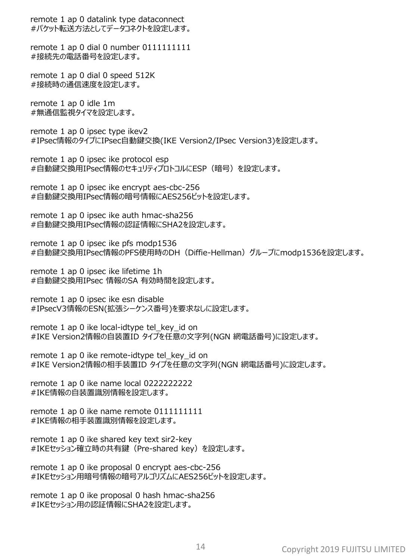remote 1 ap 0 datalink type dataconnect #パケット転送方法としてデータコネクトを設定します。

remote 1 ap 0 dial 0 number 0111111111 #接続先の電話番号を設定します。

remote 1 ap 0 dial 0 speed 512K #接続時の通信速度を設定します。

remote 1 ap 0 idle 1m #無通信監視タイマを設定します。

remote 1 ap 0 ipsec type ikev2 #IPsec情報のタイプにIPsec自動鍵交換(IKE Version2/IPsec Version3)を設定します。

remote 1 ap 0 ipsec ike protocol esp #自動鍵交換用IPsec情報のセキュリティプロトコルにESP(暗号)を設定します。

remote 1 ap 0 ipsec ike encrypt aes-cbc-256 #自動鍵交換用IPsec情報の暗号情報にAES256ビットを設定します。

remote 1 ap 0 ipsec ike auth hmac-sha256 #自動鍵交換用IPsec情報の認証情報にSHA2を設定します。

remote 1 ap 0 ipsec ike pfs modp1536 #自動鍵交換用IPsec情報のPFS使用時のDH(Diffie-Hellman)グループにmodp1536を設定します。

remote 1 ap 0 ipsec ike lifetime 1h #自動鍵交換用IPsec 情報のSA 有効時間を設定します。

remote 1 ap 0 ipsec ike esn disable #IPsecV3情報のESN(拡張シーケンス番号)を要求なしに設定します。

remote 1 ap 0 ike local-idtype tel\_key\_id on #IKE Version2情報の自装置ID タイプを任意の文字列(NGN 網電話番号)に設定します。

remote 1 ap 0 ike remote-idtype tel key id on #IKE Version2情報の相手装置ID タイプを任意の文字列(NGN 網電話番号)に設定します。

remote 1 ap 0 ike name local 0222222222 #IKE情報の自装置識別情報を設定します。

remote 1 ap 0 ike name remote 0111111111 #IKE情報の相手装置識別情報を設定します。

remote 1 ap 0 ike shared key text sir2-key #IKEセッション確立時の共有鍵(Pre-shared key)を設定します。

remote 1 ap 0 ike proposal 0 encrypt aes-cbc-256 #IKEセッション用暗号情報の暗号アルゴリズムにAES256ビットを設定します。

remote 1 ap 0 ike proposal 0 hash hmac-sha256 #IKEセッション用の認証情報にSHA2を設定します。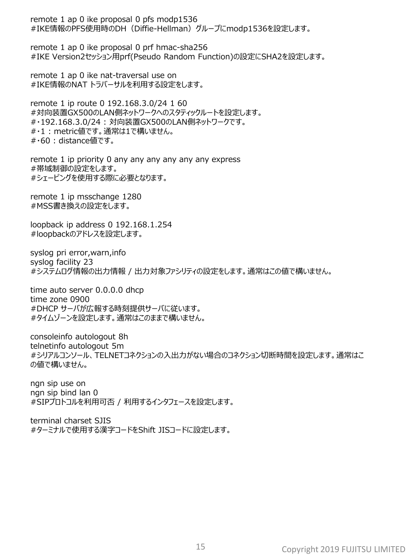remote 1 ap 0 ike proposal 0 pfs modp1536 #IKE情報のPFS使用時のDH(Diffie-Hellman)グループにmodp1536を設定します。

remote 1 ap 0 ike proposal 0 prf hmac-sha256 #IKE Version2セッション用prf(Pseudo Random Function)の設定にSHA2を設定します。

remote 1 ap 0 ike nat-traversal use on #IKE情報のNAT トラバーサルを利用する設定をします。

remote 1 ip route 0 192.168.3.0/24 1 60 #対向装置GX500のLAN側ネットワークへのスタティックルートを設定します。 #・192.168.3.0/24 : 対向装置GX500のLAN側ネットワークです。 #・1 : metric値です。通常は1で構いません。 #・60 : distance値です。

remote 1 ip priority 0 any any any any any any express #帯域制御の設定をします。 #シェーピングを使用する際に必要となります。

remote 1 ip msschange 1280 #MSS書き換えの設定をします。

loopback ip address 0 192.168.1.254 #loopbackのアドレスを設定します。

syslog pri error,warn,info syslog facility 23 #システムログ情報の出力情報 / 出力対象ファシリティの設定をします。通常はこの値で構いません。

time auto server 0.0.0.0 dhcp time zone 0900 #DHCP サーバが広報する時刻提供サーバに従います。 #タイムゾーンを設定します。通常はこのままで構いません。

consoleinfo autologout 8h telnetinfo autologout 5m #シリアルコンソール、TELNETコネクションの入出力がない場合のコネクション切断時間を設定します。通常はこ の値で構いません。

ngn sip use on ngn sip bind lan 0 #SIPプロトコルを利用可否 / 利用するインタフェースを設定します。

terminal charset SJIS #ターミナルで使用する漢字コードをShift JISコードに設定します。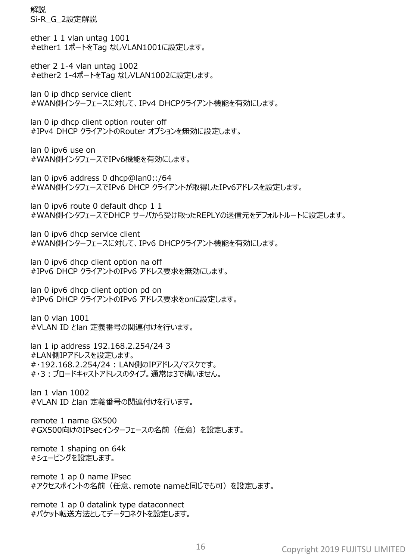解説 Si-R\_G\_2設定解説

ether 1 1 vlan untag 1001 #ether1 1ポートをTag なしVLAN1001に設定します。

ether 2 1-4 vlan untag 1002 #ether2 1-4ポートをTag なしVLAN1002に設定します。

lan 0 ip dhcp service client #WAN側インターフェースに対して、IPv4 DHCPクライアント機能を有効にします。

lan 0 ip dhcp client option router off #IPv4 DHCP クライアントのRouter オプションを無効に設定します。

lan 0 ipv6 use on #WAN側インタフェースでIPv6機能を有効にします。

lan 0 ipv6 address 0 dhcp@lan0::/64 #WAN側インタフェースでIPv6 DHCP クライアントが取得したIPv6アドレスを設定します。

lan 0 ipv6 route 0 default dhcp 1 1 #WAN側インタフェースでDHCP サーバから受け取ったREPLYの送信元をデフォルトルートに設定します。

lan 0 ipv6 dhcp service client #WAN側インターフェースに対して、IPv6 DHCPクライアント機能を有効にします。

lan 0 ipv6 dhcp client option na off #IPv6 DHCP クライアントのIPv6 アドレス要求を無効にします。

lan 0 ipv6 dhcp client option pd on #IPv6 DHCP クライアントのIPv6 アドレス要求をonに設定します。

lan 0 vlan 1001 #VLAN ID とlan 定義番号の関連付けを行います。

lan 1 ip address 192.168.2.254/24 3 #LAN側IPアドレスを設定します。 #・192.168.2.254/24 : LAN側のIPアドレス/マスクです。 #・3:ブロードキャストアドレスのタイプ。通常は3で構いません。

lan 1 vlan 1002 #VLAN ID とlan 定義番号の関連付けを行います。

remote 1 name GX500 #GX500向けのIPsecインターフェースの名前(任意)を設定します。

remote 1 shaping on 64k #シェーピングを設定します。

remote 1 ap 0 name IPsec #アクセスポイントの名前(任意、remote nameと同じでも可)を設定します。

remote 1 ap 0 datalink type dataconnect #パケット転送方法としてデータコネクトを設定します。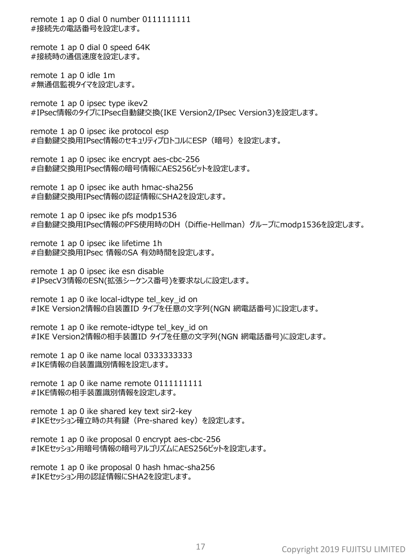remote 1 ap 0 dial 0 number 0111111111 #接続先の電話番号を設定します。

remote 1 ap 0 dial 0 speed 64K #接続時の通信速度を設定します。

remote 1 ap 0 idle 1m #無通信監視タイマを設定します。

remote 1 ap 0 ipsec type ikev2 #IPsec情報のタイプにIPsec自動鍵交換(IKE Version2/IPsec Version3)を設定します。

remote 1 ap 0 ipsec ike protocol esp #自動鍵交換用IPsec情報のセキュリティプロトコルにESP(暗号)を設定します。

remote 1 ap 0 ipsec ike encrypt aes-cbc-256 #自動鍵交換用IPsec情報の暗号情報にAES256ビットを設定します。

remote 1 ap 0 ipsec ike auth hmac-sha256 #自動鍵交換用IPsec情報の認証情報にSHA2を設定します。

remote 1 ap 0 ipsec ike pfs modp1536 #自動鍵交換用IPsec情報のPFS使用時のDH(Diffie-Hellman)グループにmodp1536を設定します。

remote 1 ap 0 ipsec ike lifetime 1h #自動鍵交換用IPsec 情報のSA 有効時間を設定します。

remote 1 ap 0 ipsec ike esn disable #IPsecV3情報のESN(拡張シーケンス番号)を要求なしに設定します。

remote 1 ap 0 ike local-idtype tel\_key\_id on #IKE Version2情報の自装置ID タイプを任意の文字列(NGN 網電話番号)に設定します。

remote 1 ap 0 ike remote-idtype tel key id on #IKE Version2情報の相手装置ID タイプを任意の文字列(NGN 網電話番号)に設定します。

remote 1 ap 0 ike name local 0333333333 #IKE情報の自装置識別情報を設定します。

remote 1 ap 0 ike name remote 01111111111 #IKE情報の相手装置識別情報を設定します。

remote 1 ap 0 ike shared key text sir2-key #IKEセッション確立時の共有鍵(Pre-shared key)を設定します。

remote 1 ap 0 ike proposal 0 encrypt aes-cbc-256 #IKEセッション用暗号情報の暗号アルゴリズムにAES256ビットを設定します。

remote 1 ap 0 ike proposal 0 hash hmac-sha256 #IKEセッション用の認証情報にSHA2を設定します。